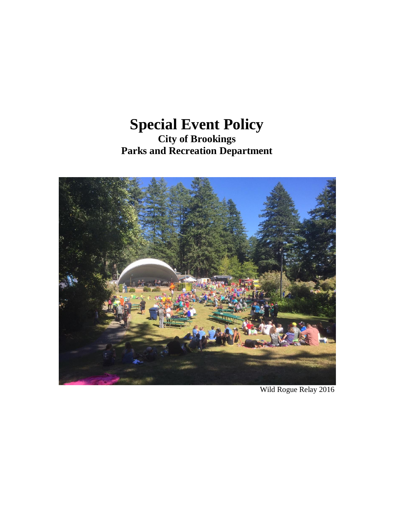# **Special Event Policy City of Brookings Parks and Recreation Department**



Wild Rogue Relay 2016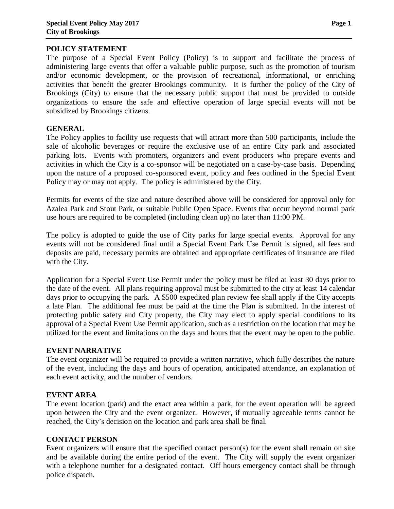#### **POLICY STATEMENT**

The purpose of a Special Event Policy (Policy) is to support and facilitate the process of administering large events that offer a valuable public purpose, such as the promotion of tourism and/or economic development, or the provision of recreational, informational, or enriching activities that benefit the greater Brookings community. It is further the policy of the City of Brookings (City) to ensure that the necessary public support that must be provided to outside organizations to ensure the safe and effective operation of large special events will not be subsidized by Brookings citizens.

## **GENERAL**

The Policy applies to facility use requests that will attract more than 500 participants, include the sale of alcoholic beverages or require the exclusive use of an entire City park and associated parking lots. Events with promoters, organizers and event producers who prepare events and activities in which the City is a co-sponsor will be negotiated on a case-by-case basis. Depending upon the nature of a proposed co-sponsored event, policy and fees outlined in the Special Event Policy may or may not apply. The policy is administered by the City.

Permits for events of the size and nature described above will be considered for approval only for Azalea Park and Stout Park, or suitable Public Open Space. Events that occur beyond normal park use hours are required to be completed (including clean up) no later than 11:00 PM.

The policy is adopted to guide the use of City parks for large special events. Approval for any events will not be considered final until a Special Event Park Use Permit is signed, all fees and deposits are paid, necessary permits are obtained and appropriate certificates of insurance are filed with the City.

Application for a Special Event Use Permit under the policy must be filed at least 30 days prior to the date of the event. All plans requiring approval must be submitted to the city at least 14 calendar days prior to occupying the park. A \$500 expedited plan review fee shall apply if the City accepts a late Plan. The additional fee must be paid at the time the Plan is submitted. In the interest of protecting public safety and City property, the City may elect to apply special conditions to its approval of a Special Event Use Permit application, such as a restriction on the location that may be utilized for the event and limitations on the days and hours that the event may be open to the public.

## **EVENT NARRATIVE**

The event organizer will be required to provide a written narrative, which fully describes the nature of the event, including the days and hours of operation, anticipated attendance, an explanation of each event activity, and the number of vendors.

## **EVENT AREA**

The event location (park) and the exact area within a park, for the event operation will be agreed upon between the City and the event organizer. However, if mutually agreeable terms cannot be reached, the City's decision on the location and park area shall be final.

## **CONTACT PERSON**

Event organizers will ensure that the specified contact person(s) for the event shall remain on site and be available during the entire period of the event. The City will supply the event organizer with a telephone number for a designated contact. Off hours emergency contact shall be through police dispatch.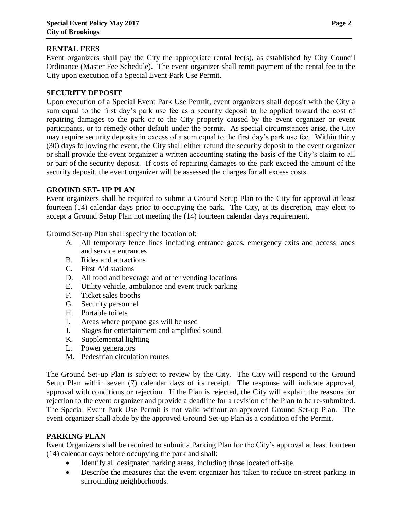#### **RENTAL FEES**

Event organizers shall pay the City the appropriate rental fee(s), as established by City Council Ordinance (Master Fee Schedule). The event organizer shall remit payment of the rental fee to the City upon execution of a Special Event Park Use Permit.

#### **SECURITY DEPOSIT**

Upon execution of a Special Event Park Use Permit, event organizers shall deposit with the City a sum equal to the first day's park use fee as a security deposit to be applied toward the cost of repairing damages to the park or to the City property caused by the event organizer or event participants, or to remedy other default under the permit. As special circumstances arise, the City may require security deposits in excess of a sum equal to the first day's park use fee. Within thirty (30) days following the event, the City shall either refund the security deposit to the event organizer or shall provide the event organizer a written accounting stating the basis of the City's claim to all or part of the security deposit. If costs of repairing damages to the park exceed the amount of the security deposit, the event organizer will be assessed the charges for all excess costs.

#### **GROUND SET- UP PLAN**

Event organizers shall be required to submit a Ground Setup Plan to the City for approval at least fourteen (14) calendar days prior to occupying the park. The City, at its discretion, may elect to accept a Ground Setup Plan not meeting the (14) fourteen calendar days requirement.

Ground Set-up Plan shall specify the location of:

- A. All temporary fence lines including entrance gates, emergency exits and access lanes and service entrances
- B. Rides and attractions
- C. First Aid stations
- D. All food and beverage and other vending locations
- E. Utility vehicle, ambulance and event truck parking
- F. Ticket sales booths
- G. Security personnel
- H. Portable toilets
- I. Areas where propane gas will be used
- J. Stages for entertainment and amplified sound
- K. Supplemental lighting
- L. Power generators
- M. Pedestrian circulation routes

The Ground Set-up Plan is subject to review by the City. The City will respond to the Ground Setup Plan within seven (7) calendar days of its receipt. The response will indicate approval, approval with conditions or rejection. If the Plan is rejected, the City will explain the reasons for rejection to the event organizer and provide a deadline for a revision of the Plan to be re-submitted. The Special Event Park Use Permit is not valid without an approved Ground Set-up Plan. The event organizer shall abide by the approved Ground Set-up Plan as a condition of the Permit.

#### **PARKING PLAN**

Event Organizers shall be required to submit a Parking Plan for the City's approval at least fourteen (14) calendar days before occupying the park and shall:

- Identify all designated parking areas, including those located off-site.
- Describe the measures that the event organizer has taken to reduce on-street parking in surrounding neighborhoods.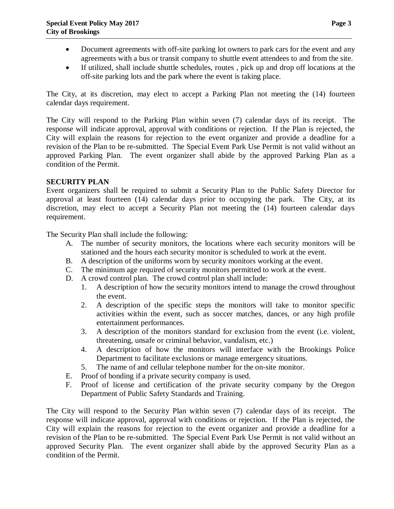- Document agreements with off-site parking lot owners to park cars for the event and any agreements with a bus or transit company to shuttle event attendees to and from the site.
- If utilized, shall include shuttle schedules, routes , pick up and drop off locations at the off-site parking lots and the park where the event is taking place.

The City, at its discretion, may elect to accept a Parking Plan not meeting the (14) fourteen calendar days requirement.

The City will respond to the Parking Plan within seven (7) calendar days of its receipt. The response will indicate approval, approval with conditions or rejection. If the Plan is rejected, the City will explain the reasons for rejection to the event organizer and provide a deadline for a revision of the Plan to be re-submitted. The Special Event Park Use Permit is not valid without an approved Parking Plan. The event organizer shall abide by the approved Parking Plan as a condition of the Permit.

#### **SECURITY PLAN**

Event organizers shall be required to submit a Security Plan to the Public Safety Director for approval at least fourteen (14) calendar days prior to occupying the park. The City, at its discretion, may elect to accept a Security Plan not meeting the (14) fourteen calendar days requirement.

The Security Plan shall include the following:

- A. The number of security monitors, the locations where each security monitors will be stationed and the hours each security monitor is scheduled to work at the event.
- B. A description of the uniforms worn by security monitors working at the event.
- C. The minimum age required of security monitors permitted to work at the event.
- D. A crowd control plan. The crowd control plan shall include:
	- 1. A description of how the security monitors intend to manage the crowd throughout the event.
	- 2. A description of the specific steps the monitors will take to monitor specific activities within the event, such as soccer matches, dances, or any high profile entertainment performances.
	- 3. A description of the monitors standard for exclusion from the event (i.e. violent, threatening, unsafe or criminal behavior, vandalism, etc.)
	- 4. A description of how the monitors will interface with the Brookings Police Department to facilitate exclusions or manage emergency situations.
	- 5. The name of and cellular telephone number for the on-site monitor.
- E. Proof of bonding if a private security company is used.
- F. Proof of license and certification of the private security company by the Oregon Department of Public Safety Standards and Training.

The City will respond to the Security Plan within seven (7) calendar days of its receipt. The response will indicate approval, approval with conditions or rejection. If the Plan is rejected, the City will explain the reasons for rejection to the event organizer and provide a deadline for a revision of the Plan to be re-submitted. The Special Event Park Use Permit is not valid without an approved Security Plan. The event organizer shall abide by the approved Security Plan as a condition of the Permit.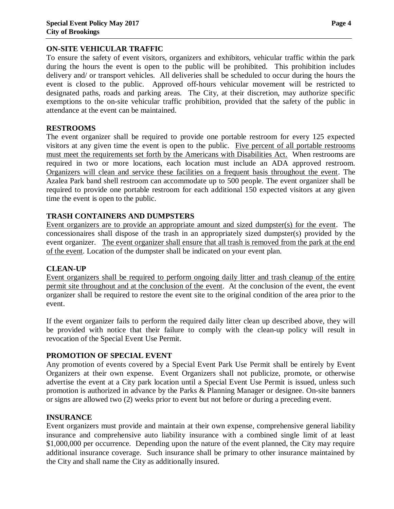#### **ON-SITE VEHICULAR TRAFFIC**

To ensure the safety of event visitors, organizers and exhibitors, vehicular traffic within the park during the hours the event is open to the public will be prohibited. This prohibition includes delivery and/ or transport vehicles. All deliveries shall be scheduled to occur during the hours the event is closed to the public. Approved off-hours vehicular movement will be restricted to designated paths, roads and parking areas. The City, at their discretion, may authorize specific exemptions to the on-site vehicular traffic prohibition, provided that the safety of the public in attendance at the event can be maintained.

#### **RESTROOMS**

The event organizer shall be required to provide one portable restroom for every 125 expected visitors at any given time the event is open to the public. Five percent of all portable restrooms must meet the requirements set forth by the Americans with Disabilities Act. When restrooms are required in two or more locations, each location must include an ADA approved restroom. Organizers will clean and service these facilities on a frequent basis throughout the event. The Azalea Park band shell restroom can accommodate up to 500 people. The event organizer shall be required to provide one portable restroom for each additional 150 expected visitors at any given time the event is open to the public.

## **TRASH CONTAINERS AND DUMPSTERS**

Event organizers are to provide an appropriate amount and sized dumpster(s) for the event. The concessionaires shall dispose of the trash in an appropriately sized dumpster(s) provided by the event organizer. The event organizer shall ensure that all trash is removed from the park at the end of the event. Location of the dumpster shall be indicated on your event plan.

#### **CLEAN-UP**

Event organizers shall be required to perform ongoing daily litter and trash cleanup of the entire permit site throughout and at the conclusion of the event. At the conclusion of the event, the event organizer shall be required to restore the event site to the original condition of the area prior to the event.

If the event organizer fails to perform the required daily litter clean up described above, they will be provided with notice that their failure to comply with the clean-up policy will result in revocation of the Special Event Use Permit.

## **PROMOTION OF SPECIAL EVENT**

Any promotion of events covered by a Special Event Park Use Permit shall be entirely by Event Organizers at their own expense. Event Organizers shall not publicize, promote, or otherwise advertise the event at a City park location until a Special Event Use Permit is issued, unless such promotion is authorized in advance by the Parks & Planning Manager or designee. On-site banners or signs are allowed two (2) weeks prior to event but not before or during a preceding event.

#### **INSURANCE**

Event organizers must provide and maintain at their own expense, comprehensive general liability insurance and comprehensive auto liability insurance with a combined single limit of at least \$1,000,000 per occurrence. Depending upon the nature of the event planned, the City may require additional insurance coverage. Such insurance shall be primary to other insurance maintained by the City and shall name the City as additionally insured.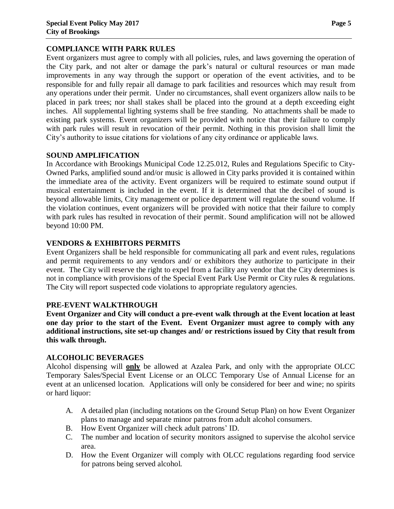#### **COMPLIANCE WITH PARK RULES**

Event organizers must agree to comply with all policies, rules, and laws governing the operation of the City park, and not alter or damage the park's natural or cultural resources or man made improvements in any way through the support or operation of the event activities, and to be responsible for and fully repair all damage to park facilities and resources which may result from any operations under their permit. Under no circumstances, shall event organizers allow nails to be placed in park trees; nor shall stakes shall be placed into the ground at a depth exceeding eight inches. All supplemental lighting systems shall be free standing. No attachments shall be made to existing park systems. Event organizers will be provided with notice that their failure to comply with park rules will result in revocation of their permit. Nothing in this provision shall limit the City's authority to issue citations for violations of any city ordinance or applicable laws.

## **SOUND AMPLIFICATION**

In Accordance with Brookings Municipal Code 12.25.012, Rules and Regulations Specific to City-Owned Parks, amplified sound and/or music is allowed in City parks provided it is contained within the immediate area of the activity. Event organizers will be required to estimate sound output if musical entertainment is included in the event. If it is determined that the decibel of sound is beyond allowable limits, City management or police department will regulate the sound volume. If the violation continues, event organizers will be provided with notice that their failure to comply with park rules has resulted in revocation of their permit. Sound amplification will not be allowed beyond 10:00 PM.

## **VENDORS & EXHIBITORS PERMITS**

Event Organizers shall be held responsible for communicating all park and event rules, regulations and permit requirements to any vendors and/ or exhibitors they authorize to participate in their event. The City will reserve the right to expel from a facility any vendor that the City determines is not in compliance with provisions of the Special Event Park Use Permit or City rules & regulations. The City will report suspected code violations to appropriate regulatory agencies.

#### **PRE-EVENT WALKTHROUGH**

**Event Organizer and City will conduct a pre-event walk through at the Event location at least one day prior to the start of the Event. Event Organizer must agree to comply with any additional instructions, site set-up changes and/ or restrictions issued by City that result from this walk through.**

#### **ALCOHOLIC BEVERAGES**

Alcohol dispensing will **only** be allowed at Azalea Park, and only with the appropriate OLCC Temporary Sales/Special Event License or an OLCC Temporary Use of Annual License for an event at an unlicensed location. Applications will only be considered for beer and wine; no spirits or hard liquor:

- A. A detailed plan (including notations on the Ground Setup Plan) on how Event Organizer plans to manage and separate minor patrons from adult alcohol consumers.
- B. How Event Organizer will check adult patrons' ID.
- C. The number and location of security monitors assigned to supervise the alcohol service area.
- D. How the Event Organizer will comply with OLCC regulations regarding food service for patrons being served alcohol.